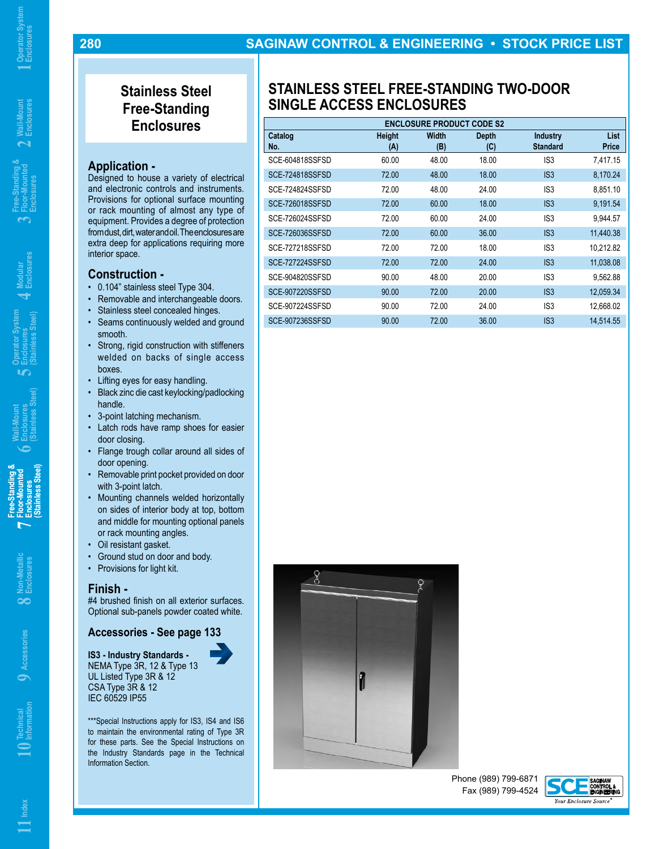**6**

**5**

## **Stainless Steel Free-Standing Enclosures**

## **Application -**

**280**

Designed to house a variety of electrical and electronic controls and instruments. Provisions for optional surface mounting or rack mounting of almost any type of equipment. Provides a degree of protection from dust, dirt, water and oil. The enclosures are extra deep for applications requiring more interior space.

## **Construction -**

- 0.104" stainless steel Type 304.
- Removable and interchangeable doors.
- Stainless steel concealed hinges.
- Seams continuously welded and ground smooth.
- Strong, rigid construction with stiffeners welded on backs of single access boxes.
- Lifting eyes for easy handling.
- Black zinc die cast keylocking/padlocking handle.
- 3-point latching mechanism.
- Latch rods have ramp shoes for easier door closing.
- Flange trough collar around all sides of door opening.
- Removable print pocket provided on door with 3-point latch.
- Mounting channels welded horizontally on sides of interior body at top, bottom and middle for mounting optional panels or rack mounting angles.
- Oil resistant gasket.
- Ground stud on door and body.
- Provisions for light kit.

#### **Finish -**

#4 brushed finish on all exterior surfaces. Optional sub-panels powder coated white.

## **Accessories - See page 133**

**IS3 - Industry Standards -** NEMA Type 3R, 12 & Type 13 UL Listed Type 3R & 12 CSA Type 3R & 12 IEC 60529 IP55

\*\*\*Special Instructions apply for IS3, IS4 and IS6 to maintain the environmental rating of Type 3R for these parts. See the Special Instructions on the Industry Standards page in the Technical Information Section.

# **STAINLESS STEEL FREE-STANDING TWO-DOOR SINGLE ACCESS ENCLOSURES**

| <b>ENCLOSURE PRODUCT CODE S2</b> |               |              |                     |                                    |                      |
|----------------------------------|---------------|--------------|---------------------|------------------------------------|----------------------|
| Catalog<br>No.                   | Height<br>(A) | Width<br>(B) | <b>Depth</b><br>(C) | <b>Industry</b><br><b>Standard</b> | <b>List</b><br>Price |
| SCE-604818SSFSD                  | 60.00         | 48.00        | 18.00               | IS <sub>3</sub>                    | 7.417.15             |
| <b>SCE-724818SSFSD</b>           | 72.00         | 48.00        | 18.00               | IS <sub>3</sub>                    | 8,170.24             |
| SCE-724824SSFSD                  | 72.00         | 48.00        | 24.00               | IS <sub>3</sub>                    | 8,851.10             |
| <b>SCE-726018SSFSD</b>           | 72.00         | 60.00        | 18.00               | IS <sub>3</sub>                    | 9,191.54             |
| SCE-726024SSFSD                  | 72.00         | 60.00        | 24.00               | IS <sub>3</sub>                    | 9,944.57             |
| SCE-726036SSFSD                  | 72.00         | 60.00        | 36.00               | IS3                                | 11,440.38            |
| SCE-727218SSFSD                  | 72.00         | 72.00        | 18.00               | IS3                                | 10,212.82            |
| SCE-727224SSFSD                  | 72.00         | 72.00        | 24.00               | IS3                                | 11,038.08            |
| SCE-904820SSFSD                  | 90.00         | 48.00        | 20.00               | IS3                                | 9.562.88             |
| SCE-907220SSFSD                  | 90.00         | 72.00        | 20.00               | IS3                                | 12,059.34            |
| SCE-907224SSFSD                  | 90.00         | 72.00        | 24.00               | IS <sub>3</sub>                    | 12,668.02            |
| SCE-907236SSFSD                  | 90.00         | 72.00        | 36.00               | IS3                                | 14,514.55            |



Phone (989) 799-6871 Fax (989) 799-4524